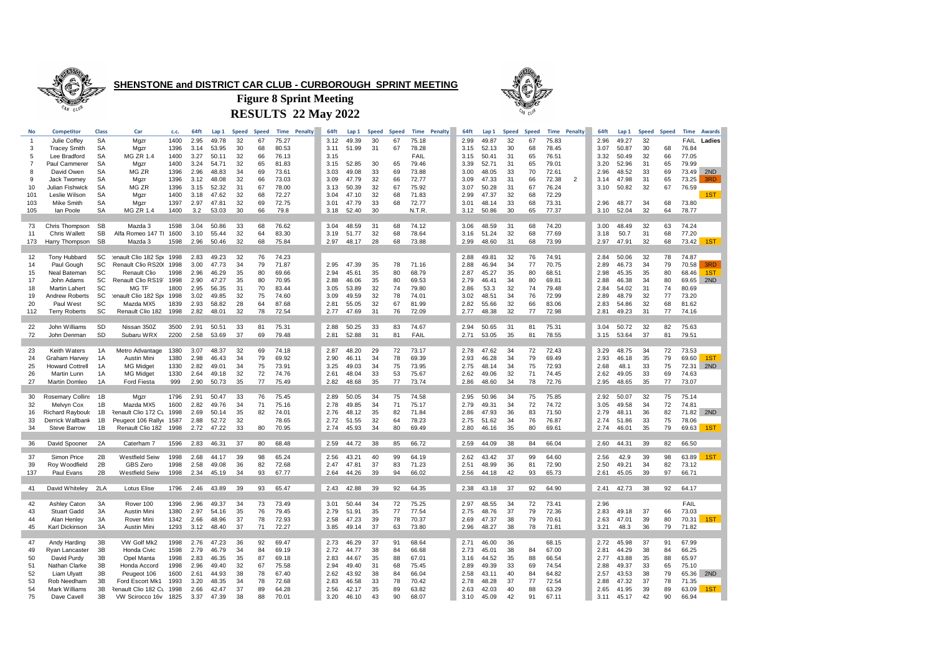

**SHENSTONE and DISTRICT CAR CLUB - CURBOROUGH SPRINT MEETING**



**RESULTS 22 May 2022 Figure 8 Sprint Meeting**

| No             | <b>Competitor</b>       | Class     | Car                       | c.c. | 64ft | Lap 1 | Speed | <b>Speed</b> | Time  | Penalty | 64ft | Lap 1 | <b>Speed</b> | <b>Speed</b> | Time        | Penalty | 64ft | Lap 1 | <b>Speed</b> | <b>Speed</b> | <b>Time</b> | <b>Penalty</b> | 64ft | Lap 1 | Speed | <b>Speed</b> | <b>Time</b> | Awards |
|----------------|-------------------------|-----------|---------------------------|------|------|-------|-------|--------------|-------|---------|------|-------|--------------|--------------|-------------|---------|------|-------|--------------|--------------|-------------|----------------|------|-------|-------|--------------|-------------|--------|
| $\overline{1}$ | Julie Coffey            | <b>SA</b> | Mqzr                      | 1400 | 2.95 | 49.78 | 32    | 67           | 75.27 |         | 3.12 | 49.39 | 30           | 67           | 75.18       |         | 2.99 | 49.87 | 32           | 67           | 75.83       |                | 2.96 | 49.27 | 32    |              | FAIL        | Ladies |
| 3              | <b>Tracey Smith</b>     | <b>SA</b> | Mgzr                      | 1396 | 3.14 | 53.95 | 30    | 68           | 80.53 |         | 3.11 | 51.99 | 31           | 67           | 78.28       |         | 3.15 | 52.13 | 30           | 68           | 78.45       |                | 3.07 | 50.87 | 30    | 68           | 76.84       |        |
| -5             | Lee Bradford            | <b>SA</b> | <b>MG ZR 1.4</b>          | 1400 | 3.27 | 50.11 | 32    | 66           | 76.13 |         | 3.15 |       |              |              | <b>FAIL</b> |         | 3.15 | 50.41 | 31           | 65           | 76.51       |                | 3.32 | 50.49 | 32    | 66           | 77.05       |        |
| 7              | Paul Cammerer           | SA        | Mgzr                      | 1400 | 3.24 | 54.71 | 32    | 65           | 81.83 |         | 3.15 | 52.85 | 30           | 65           | 79.46       |         | 3.39 | 52.71 | 31           | 65           | 79.01       |                | 3.20 | 52.96 | 31    | 65           | 79.99       |        |
| -8             | David Owen              | SA        | MG ZR                     | 1396 | 2.96 | 48.83 | 34    | 69           | 73.61 |         | 3.03 | 49.08 | 33           | 69           | 73.88       |         | 3.00 | 48.05 | 33           | 70           | 72.61       |                | 2.96 | 48.52 | 33    | 69           | 73.49       | 2ND    |
| -9             | Jack Twomey             | SA        | Mgzr                      | 1396 | 3.12 | 48.08 | 32    | 66           | 73.03 |         | 3.09 | 47.79 | 32           | 66           | 72.77       |         | 3.09 | 47.33 | 31           | 66           | 72.38       | 2              | 3.14 | 47.98 | 31    | 65           | 73.25       | 3RD    |
| 10             | Julian Fishwick         | <b>SA</b> | MG ZR                     | 1396 | 3.15 | 52.32 | 31    | 67           | 78.00 |         | 3.13 | 50.39 | 32           | 67           | 75.92       |         | 3.07 | 50.28 | 31           | 67           | 76.24       |                | 3.10 | 50.82 | 32    | 67           | 76.59       |        |
|                | Leslie Wilson           |           |                           |      |      |       | 32    |              | 72.27 |         |      |       | 32           |              | 71.83       |         | 2.99 | 47.37 | 32           |              | 72.29       |                |      |       |       |              |             | 1ST    |
| 101            |                         | SA        | Mgzr                      | 1400 | 3.18 | 47.62 |       | 68           |       |         | 3.04 | 47.10 |              | 68<br>68     |             |         |      |       |              | 68           |             |                |      |       |       |              |             |        |
| 103            | Mike Smith              | <b>SA</b> | Mgzr                      | 1397 | 2.97 | 47.81 | 32    | 69           | 72.75 |         | 3.01 | 47.79 | 33           |              | 72.77       |         | 3.01 | 48.14 | 33           | 68           | 73.31       |                | 2.96 | 48.77 | 34    | 68           | 73.80       |        |
| 105            | lan Poole               | SA        | MG ZR 1.4                 | 1400 | 3.2  | 53.03 | 30    | 66           | 79.8  |         | 3.18 | 52.40 | 30           |              | N.T.R.      |         | 3.12 | 50.86 | 30           | 65           | 77.37       |                | 3.10 | 52.04 | 32    | 64           | 78.77       |        |
|                |                         |           |                           |      |      |       |       |              |       |         |      |       |              |              |             |         |      |       |              |              |             |                |      |       |       |              |             |        |
| 73             | Chris Thompson          | SB        | Mazda 3                   | 1598 | 3.04 | 50.86 | 33    | 68           | 76.62 |         | 3.04 | 48.59 | 31           | 68           | 74.12       |         | 3.06 | 48.59 | 31           | 68           | 74.20       |                | 3.00 | 48.49 | 32    | 63           | 74.24       |        |
| 11             | Chris Wallett           | SB        | Alfa Romeo 147 TI 1600    |      | 3.10 | 55.44 | 32    | 64           | 83.30 |         | 3.19 | 51.77 | 32           | 68           | 78.64       |         | 3.16 | 51.24 | 32           | 68           | 77.69       |                | 3.18 | 50.7  | 31    | 68           | 77.20       |        |
| 173            | Harry Thompson          | <b>SB</b> | Mazda 3                   | 1598 | 2.96 | 50.46 | 32    | 68           | 75.84 |         | 2.97 | 48.17 | 28           | 68           | 73.88       |         | 2.99 | 48.60 | 31           | 68           | 73.99       |                | 2.97 | 47.91 | 32    | 68           | 73.42       | 1ST    |
|                |                         |           |                           |      |      |       |       |              |       |         |      |       |              |              |             |         |      |       |              |              |             |                |      |       |       |              |             |        |
| 12             | Tony Hubbard            | SC        | lenault Clio 182 Spr 1998 |      | 2.83 | 49.23 | 32    | 76           | 74.23 |         |      |       |              |              |             |         | 2.88 | 49.81 | 32           | 76           | 74.91       |                | 2.84 | 50.06 | 32    | 78           | 74.87       |        |
| 14             | Paul Gough              | SC        | Renault Clio RS20( 1998   |      | 3.00 | 47.73 | 34    | 79           | 71.87 |         | 2.95 | 47.39 | 35           | 78           | 71.16       |         | 2.88 | 46.94 | 34           | 77           | 70.75       |                | 2.89 | 46.73 | 34    | 79           | 70.58       | 3RD    |
| 15             | Neal Bateman            | SC        | <b>Renault Clio</b>       | 1998 | 2.96 | 46.29 | 35    | 80           | 69.66 |         | 2.94 | 45.61 | 35           | 80           | 68.79       |         | 2.87 | 45.27 | 35           | 80           | 68.51       |                | 2.98 | 45.35 | 35    | 80           | 68.46       | 1ST    |
| 17             | John Adams              | SC        | Renault Clio RS197        | 1998 | 2.90 | 47.27 | 35    | 80           | 70.95 |         | 2.88 | 46.06 | 35           | 80           | 69.53       |         | 2.79 | 46.41 | 34           | 80           | 69.81       |                | 2.88 | 46.38 | 34    | 80           | 69.65       | 2ND    |
| 18             | <b>Martin Lahert</b>    | SC        | MG TF                     | 1800 | 2.95 | 56.35 | 31    | 70           | 83.44 |         | 3.05 | 53.89 | 32           | 74           | 79.80       |         | 2.86 | 53.3  | 32           | 74           | 79.48       |                | 2.84 | 54.02 | 31    | 74           | 80.69       |        |
| 19             | Andrew Roberts          | SC        | tenault Clio 182 Spr 1998 |      | 3.02 | 49.85 | 32    | 75           | 74.60 |         | 3.09 | 49.59 | 32           | 78           | 74.01       |         | 3.02 | 48.51 | 34           | 76           | 72.99       |                | 2.89 | 48.79 | 32    | 77           | 73.20       |        |
| 20             | Paul West               | SC        | Mazda MX5                 | 1839 | 2.93 | 58.82 | 28    | 64           | 87.68 |         | 2.81 | 55.05 | 32           | 67           | 81.99       |         | 2.82 | 55.66 | 32           | 66           | 83.06       |                | 2.83 | 54.86 | 32    | 68           | 81.62       |        |
| 112            | <b>Terry Roberts</b>    | SC        | Renault Clio 182          | 1998 | 2.82 | 48.01 | 32    | 78           | 72.54 |         | 2.77 | 47.69 | 31           | 76           | 72.09       |         | 2.77 | 48.38 | 32           | 77           | 72.98       |                | 2.81 | 49.23 | 31    | 77           | 74.16       |        |
|                |                         |           |                           |      |      |       |       |              |       |         |      |       |              |              |             |         |      |       |              |              |             |                |      |       |       |              |             |        |
|                |                         |           |                           |      |      |       |       |              |       |         |      |       |              |              |             |         |      |       |              |              |             |                |      |       |       |              |             |        |
| 22             | John Williams           | <b>SD</b> | Nissan 350Z               | 3500 | 2.91 | 50.51 | 33    | 81           | 75.31 |         | 2.88 | 50.25 | 33           | 83           | 74.67       |         | 2.94 | 50.65 | 31           | 81           | 75.31       |                | 3.04 | 50.72 | 32    | 82           | 75.63       |        |
| 72             | John Denman             | SD        | Subaru WRX                | 2200 | 2.58 | 53.69 | 37    | 69           | 79.48 |         | 2.81 | 52.88 | 31           | 81           | FAIL        |         | 2.71 | 53.05 | 35           | 81           | 78.55       |                | 3.15 | 53.64 | 37    | 81           | 79.51       |        |
|                |                         |           |                           |      |      |       |       |              |       |         |      |       |              |              |             |         |      |       |              |              |             |                |      |       |       |              |             |        |
| 23             | Keith Waters            | 1A        | Metro Advantage           | 1380 | 3.07 | 48.37 | 32    | 69           | 74.18 |         | 2.87 | 48.20 | 29           | 72           | 73.17       |         | 2.78 | 47.62 | 34           | 72           | 72.43       |                | 3.29 | 48.75 | 34    | 72           | 73.53       |        |
| 24             | Graham Harvey           | 1A        | Austin Mini               | 1380 | 2.98 | 46.43 | 34    | 79           | 69.92 |         | 2.90 | 46.11 | 34           | 78           | 69.39       |         | 2.93 | 46.28 | 34           | 79           | 69.49       |                | 2.93 | 46.18 | 35    | 79           | 69.60       | 1ST    |
| 25             | <b>Howard Cottrell</b>  | 1A        | <b>MG Midget</b>          | 1330 | 2.82 | 49.01 | 34    | 75           | 73.91 |         | 3.25 | 49.03 | 34           | 75           | 73.95       |         | 2.75 | 48.14 | 34           | 75           | 72.93       |                | 2.68 | 48.1  | 33    | 75           | 72.31       | 2ND    |
| 26             | Martin Lunn             | 1A        | <b>MG Midget</b>          | 1330 | 2.64 | 49.18 | 32    | 72           | 74.76 |         | 2.61 | 48.04 | 33           | 53           | 75.67       |         | 2.62 | 49.06 | 32           | 71           | 74.45       |                | 2.62 | 49.05 | 33    | 69           | 74.63       |        |
| 27             | Martin Domleo           | 1A        | <b>Ford Fiesta</b>        | 999  | 2.90 | 50.73 | 35    | 77           | 75.49 |         | 2.82 | 48.68 | 35           | 77           | 73.74       |         | 2.86 | 48.60 | 34           | 78           | 72.76       |                | 2.95 | 48.65 | 35    | 77           | 73.07       |        |
|                |                         |           |                           |      |      |       |       |              |       |         |      |       |              |              |             |         |      |       |              |              |             |                |      |       |       |              |             |        |
| 30             | <b>Rosemary Collins</b> | 1B        | Mgzr                      | 1796 | 2.91 | 50.47 | 33    | 76           | 75.45 |         | 2.89 | 50.05 | 34           | 75           | 74.58       |         | 2.95 | 50.96 | 34           | 75           | 75.85       |                | 2.92 | 50.07 | 32    | 75           | 75.14       |        |
| 32             | Melvyn Cox              | 1B        | Mazda MX5                 | 1600 | 2.82 | 49.76 | 34    | 71           | 75.16 |         | 2.78 | 49.85 | 34           | 71           | 75.17       |         | 2.79 | 49.31 | 34           | 72           | 74.72       |                | 3.05 | 49.58 | 34    | 72           | 74.81       |        |
| 16             | <b>Richard Raybould</b> | 1B        | Renault Clio 172 Cu       | 1998 | 2.69 | 50.14 | 35    | 82           | 74.01 |         | 2.76 | 48.12 | 35           | 82           | 71.84       |         | 2.86 | 47.93 | 36           | 83           | 71.50       |                | 2.79 | 48.11 | 36    | 82           | 71.82       | 2ND    |
| 33             | Derrick Wallbank        | 1B        | Peugeot 106 Rally  1587   |      | 2.88 | 52.72 | 32    |              | 78.65 |         | 2.72 | 51.55 | 32           | 64           | 78.23       |         | 2.75 | 51.62 | 34           | 76           | 76.87       |                | 2.74 | 51.86 | 33    | 75           | 78.06       |        |
| 34             | <b>Steve Barrow</b>     | 1B        | Renault Clio 182          | 1998 | 2.72 | 47.22 | 33    | 80           | 70.95 |         | 2.74 | 45.93 | 34           | 80           | 69.49       |         | 2.80 | 46.16 | 35           | 80           | 69.61       |                | 2.74 | 46.01 | 35    | 79           | 69.63       | 1ST    |
|                |                         |           |                           |      |      |       |       |              |       |         |      |       |              |              |             |         |      |       |              |              |             |                |      |       |       |              |             |        |
| 36             | David Spooner           | 2A        | Caterham 7                | 1596 | 2.83 | 46.31 | 37    | 80           | 68.48 |         | 2.59 | 44.72 | 38           | 85           | 66.72       |         | 2.59 | 44.09 | 38           | 84           | 66.04       |                | 2.60 | 44.31 | 39    | 82           | 66.50       |        |
|                |                         |           |                           |      |      |       |       |              |       |         |      |       |              |              |             |         |      |       |              |              |             |                |      |       |       |              |             |        |
| -37            | Simon Price             | 2B        | Westfield Seiw            | 1998 | 2.68 | 44.17 | 39    | 98           | 65.24 |         | 2.56 | 43.21 | 40           | 99           | 64.19       |         | 2.62 | 43.42 | 37           | 99           | 64.60       |                | 2.56 | 42.9  | 39    | 98           | 63.89       | 1ST    |
| 39             | Roy Woodfield           | 2B        | GBS Zero                  | 1998 | 2.58 | 49.08 | 36    | 82           | 72.68 |         | 2.47 | 47.81 | 37           | 83           | 71.23       |         | 2.51 | 48.99 | 36           | 81           | 72.90       |                | 2.50 | 49.21 | 34    | 82           | 73.12       |        |
| 137            | Paul Evans              | 2B        | Westfield Seiw            | 1998 | 2.34 | 45.19 | 34    | 93           | 67.77 |         | 2.64 | 44.26 | 39           | 94           | 66.02       |         | 2.56 | 44.18 | 42           | 93           | 65.73       |                | 2.61 | 45.05 | 39    | 97           | 66.71       |        |
|                |                         |           |                           |      |      |       |       |              |       |         |      |       |              |              |             |         |      |       |              |              |             |                |      |       |       |              |             |        |
| 41             | David Whiteley          | 2LA       | Lotus Elise               | 1796 | 2.46 | 43.89 | 39    | 93           | 65.47 |         | 2.43 | 42.88 | 39           | 92           | 64.35       |         | 2.38 | 43.18 | 37           | 92           | 64.90       |                | 2.41 | 42.73 | 38    | 92           | 64.17       |        |
|                |                         |           |                           |      |      |       |       |              |       |         |      |       |              |              |             |         |      |       |              |              |             |                |      |       |       |              |             |        |
|                |                         |           |                           |      |      |       | 34    |              |       |         |      |       | 34           |              |             |         | 2.97 | 48.55 | 34           | 72           | 73.41       |                | 2.96 |       |       |              | FAIL        |        |
| 42             | <b>Ashley Caton</b>     | 3A        | Rover 100                 | 1396 | 2.96 | 49.37 |       | 73           | 73.49 |         | 3.01 | 50.44 |              | 72           | 75.25       |         |      |       |              |              |             |                |      |       |       |              |             |        |
| 43             | <b>Stuart Gadd</b>      | 3A        | Austin Mini               | 1380 | 2.97 | 54.16 | 35    | 76           | 79.45 |         | 2.79 | 51.91 | 35           | 77           | 77.54       |         | 2.75 | 48.76 | 37           | 79           | 72.36       |                | 2.83 | 49.18 | 37    | 66           | 73.03       |        |
| 44             | Alan Henley             | 3A        | Rover Mini                | 1342 | 2.66 | 48.96 | 37    | 78           | 72.93 |         | 2.58 | 47.23 | 39           | 78           | 70.37       |         | 2.69 | 47.37 | 38           | 79           | 70.61       |                | 2.63 | 47.01 | 39    | 80           | 70.31       | 1ST    |
| 45             | Karl Dickinson          | 3A        | Austin Mini               | 1293 | 3.12 | 48.40 | 37    | 71           | 72.27 |         | 3.85 | 49.14 | 37           | 63           | 73.80       |         | 2.96 | 48.27 | 38           | 78           | 71.81       |                | 3.21 | 48.3  | 36    | 79           | 71.82       |        |
|                |                         |           |                           |      |      |       |       |              |       |         |      |       |              |              |             |         |      |       |              |              |             |                |      |       |       |              |             |        |
| 47             | Andy Harding            | 3B        | VW Golf Mk2               | 1998 | 2.76 | 47.23 | 36    | 92           | 69.47 |         | 2.73 | 46.29 | 37           | 91           | 68.64       |         | 2.71 | 46.00 | 36           |              | 68.15       |                | 2.72 | 45.98 | 37    | 91           | 67.99       |        |
| 49             | Ryan Lancaster          | 3B        | Honda Civic               | 1598 | 2.79 | 46.79 | 34    | 84           | 69.19 |         | 2.72 | 44.77 | 38           | 84           | 66.68       |         | 2.73 | 45.01 | 38           | 84           | 67.00       |                | 2.81 | 44.29 | 38    | 84           | 66.25       |        |
| 50             | David Purdy             | 3B        | Opel Manta                | 1998 | 2.83 | 46.35 | 35    | 87           | 69.18 |         | 2.83 | 44.67 | 35           | 88           | 67.01       |         | 3.16 | 44.52 | 35           | 88           | 66.54       |                | 2.77 | 43.88 | 35    | 88           | 65.97       |        |
| 51             | Nathan Clarke           | 3B        | Honda Accord              | 1998 | 2.96 | 49.40 | 32    | 67           | 75.58 |         | 2.94 | 49.40 | 31           | 68           | 75.45       |         | 2.89 | 49.39 | 33           | 69           | 74.54       |                | 2.88 | 49.37 | 33    | 65           | 75.10       |        |
| 52             | Liam Ulyatt             | 3B        | Peugeot 106               | 1600 | 2.61 | 44.93 | 38    | 78           | 67.40 |         | 2.62 | 43.92 | 38           | 84           | 66.04       |         | 2.58 | 43.11 | 40           | 84           | 64.82       |                | 2.57 | 43.53 | 38    | 79           | 65.36       | 2ND    |
| 53             | Rob Needham             | 3B        | Ford Escort Mk1           | 1993 | 3.20 | 48.35 | 34    | 78           | 72.68 |         | 2.83 | 46.58 | 33           | 78           | 70.42       |         | 2.78 | 48.28 | 37           | 77           | 72.54       |                | 2.88 | 47.32 | 37    | 78           | 71.35       |        |
| 54             | Mark Williams           | 3B        | Renault Clio 182 Cu 1998  |      | 2.66 | 42.47 | 37    | 89           | 64.28 |         | 2.56 | 42.17 | 35           | 89           | 63.82       |         | 2.63 | 42.03 | 40           | 88           | 63.29       |                | 2.65 | 41.95 | 39    | 89           | 63.09       | 1ST    |
| 75             | Dave Cavell             | 3B        | VW Scirocco 16v           | 1825 | 3.37 | 47.39 | 38    | 88           | 70.01 |         | 3.20 | 46.10 | 43           | 90           | 68.07       |         | 3.10 | 45.09 | 42           | 91           | 67.11       |                | 3.11 | 45.17 | 42    | 90           | 66.94       |        |
|                |                         |           |                           |      |      |       |       |              |       |         |      |       |              |              |             |         |      |       |              |              |             |                |      |       |       |              |             |        |